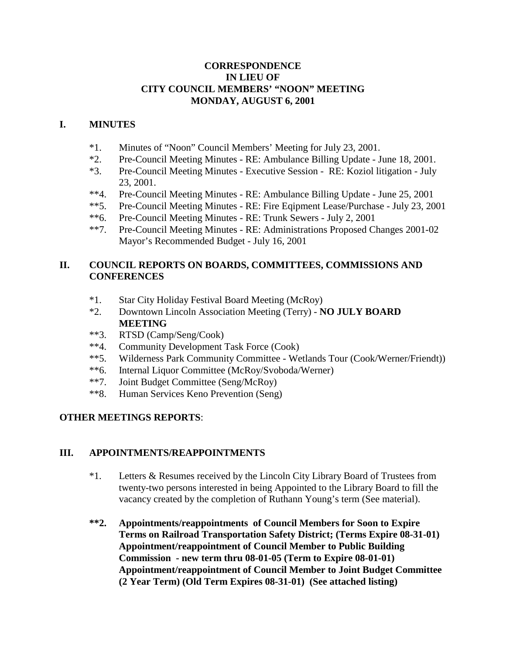## **CORRESPONDENCE IN LIEU OF CITY COUNCIL MEMBERS' "NOON" MEETING MONDAY, AUGUST 6, 2001**

#### **I. MINUTES**

- \*1. Minutes of "Noon" Council Members' Meeting for July 23, 2001.
- \*2. Pre-Council Meeting Minutes RE: Ambulance Billing Update June 18, 2001.
- \*3. Pre-Council Meeting Minutes Executive Session RE: Koziol litigation July 23, 2001.
- \*\*4. Pre-Council Meeting Minutes RE: Ambulance Billing Update June 25, 2001
- \*\*5. Pre-Council Meeting Minutes RE: Fire Eqipment Lease/Purchase July 23, 2001
- \*\*6. Pre-Council Meeting Minutes RE: Trunk Sewers July 2, 2001
- \*\*7. Pre-Council Meeting Minutes RE: Administrations Proposed Changes 2001-02 Mayor's Recommended Budget - July 16, 2001

# **II. COUNCIL REPORTS ON BOARDS, COMMITTEES, COMMISSIONS AND CONFERENCES**

- \*1. Star City Holiday Festival Board Meeting (McRoy)
- \*2. Downtown Lincoln Association Meeting (Terry) **NO JULY BOARD MEETING**
- \*\*3. RTSD (Camp/Seng/Cook)
- \*\*4. Community Development Task Force (Cook)
- \*\*5. Wilderness Park Community Committee Wetlands Tour (Cook/Werner/Friendt))
- \*\*6. Internal Liquor Committee (McRoy/Svoboda/Werner)
- \*\*7. Joint Budget Committee (Seng/McRoy)
- \*\*8. Human Services Keno Prevention (Seng)

## **OTHER MEETINGS REPORTS**:

## **III. APPOINTMENTS/REAPPOINTMENTS**

- \*1. Letters & Resumes received by the Lincoln City Library Board of Trustees from twenty-two persons interested in being Appointed to the Library Board to fill the vacancy created by the completion of Ruthann Young's term (See material).
- **\*\*2. Appointments/reappointments of Council Members for Soon to Expire Terms on Railroad Transportation Safety District; (Terms Expire 08-31-01) Appointment/reappointment of Council Member to Public Building Commission - new term thru 08-01-05 (Term to Expire 08-01-01) Appointment/reappointment of Council Member to Joint Budget Committee (2 Year Term) (Old Term Expires 08-31-01) (See attached listing)**